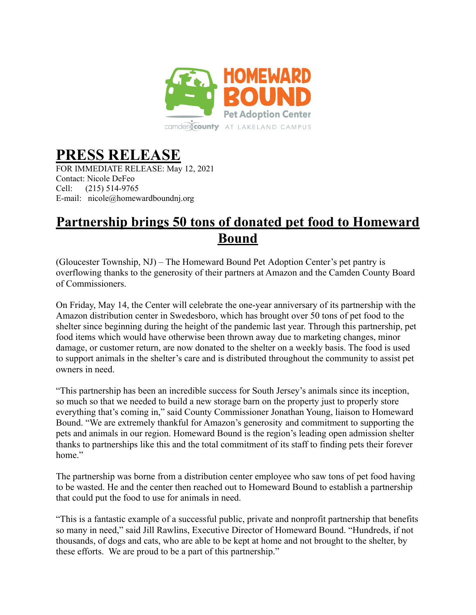

## **PRESS RELEASE**

FOR IMMEDIATE RELEASE: May 12, 2021 Contact: Nicole DeFeo Cell: (215) 514-9765 E-mail: nicole@homewardboundnj.org

## **Partnership brings 50 tons of donated pet food to Homeward Bound**

(Gloucester Township, NJ) – The Homeward Bound Pet Adoption Center's pet pantry is overflowing thanks to the generosity of their partners at Amazon and the Camden County Board of Commissioners.

On Friday, May 14, the Center will celebrate the one-year anniversary of its partnership with the Amazon distribution center in Swedesboro, which has brought over 50 tons of pet food to the shelter since beginning during the height of the pandemic last year. Through this partnership, pet food items which would have otherwise been thrown away due to marketing changes, minor damage, or customer return, are now donated to the shelter on a weekly basis. The food is used to support animals in the shelter's care and is distributed throughout the community to assist pet owners in need.

"This partnership has been an incredible success for South Jersey's animals since its inception, so much so that we needed to build a new storage barn on the property just to properly store everything that's coming in," said County Commissioner Jonathan Young, liaison to Homeward Bound. "We are extremely thankful for Amazon's generosity and commitment to supporting the pets and animals in our region. Homeward Bound is the region's leading open admission shelter thanks to partnerships like this and the total commitment of its staff to finding pets their forever home"

The partnership was borne from a distribution center employee who saw tons of pet food having to be wasted. He and the center then reached out to Homeward Bound to establish a partnership that could put the food to use for animals in need.

"This is a fantastic example of a successful public, private and nonprofit partnership that benefits so many in need," said Jill Rawlins, Executive Director of Homeward Bound. "Hundreds, if not thousands, of dogs and cats, who are able to be kept at home and not brought to the shelter, by these efforts. We are proud to be a part of this partnership."